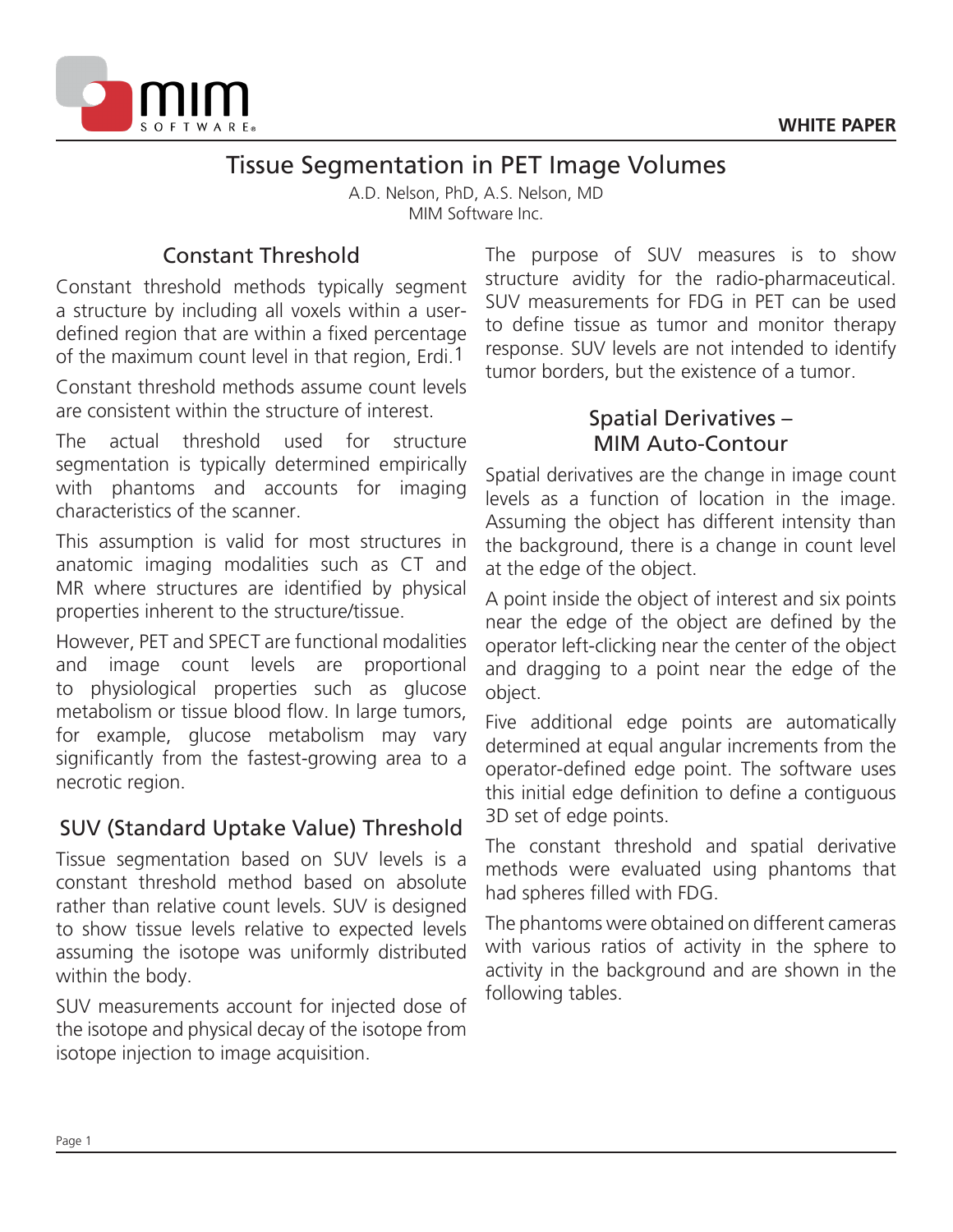

# Tissue Segmentation in PET Image Volumes

A.D. Nelson, PhD, A.S. Nelson, MD MIM Software Inc.

# Constant Threshold

Constant threshold methods typically segment a structure by including all voxels within a userdefined region that are within a fixed percentage of the maximum count level in that region, Erdi.1

Constant threshold methods assume count levels are consistent within the structure of interest.

The actual threshold used for structure segmentation is typically determined empirically with phantoms and accounts for imaging characteristics of the scanner.

This assumption is valid for most structures in anatomic imaging modalities such as CT and MR where structures are identified by physical properties inherent to the structure/tissue.

However, PET and SPECT are functional modalities and image count levels are proportional to physiological properties such as glucose metabolism or tissue blood flow. In large tumors, for example, glucose metabolism may vary significantly from the fastest-growing area to a necrotic region.

## SUV (Standard Uptake Value) Threshold

Tissue segmentation based on SUV levels is a constant threshold method based on absolute rather than relative count levels. SUV is designed to show tissue levels relative to expected levels assuming the isotope was uniformly distributed within the body.

SUV measurements account for injected dose of the isotope and physical decay of the isotope from isotope injection to image acquisition.

The purpose of SUV measures is to show structure avidity for the radio-pharmaceutical. SUV measurements for FDG in PET can be used to define tissue as tumor and monitor therapy response. SUV levels are not intended to identify tumor borders, but the existence of a tumor.

## Spatial Derivatives – MIM Auto-Contour

Spatial derivatives are the change in image count levels as a function of location in the image. Assuming the object has different intensity than the background, there is a change in count level at the edge of the object.

A point inside the object of interest and six points near the edge of the object are defined by the operator left-clicking near the center of the object and dragging to a point near the edge of the object.

Five additional edge points are automatically determined at equal angular increments from the operator-defined edge point. The software uses this initial edge definition to define a contiguous 3D set of edge points.

The constant threshold and spatial derivative methods were evaluated using phantoms that had spheres filled with FDG.

The phantoms were obtained on different cameras with various ratios of activity in the sphere to activity in the background and are shown in the following tables.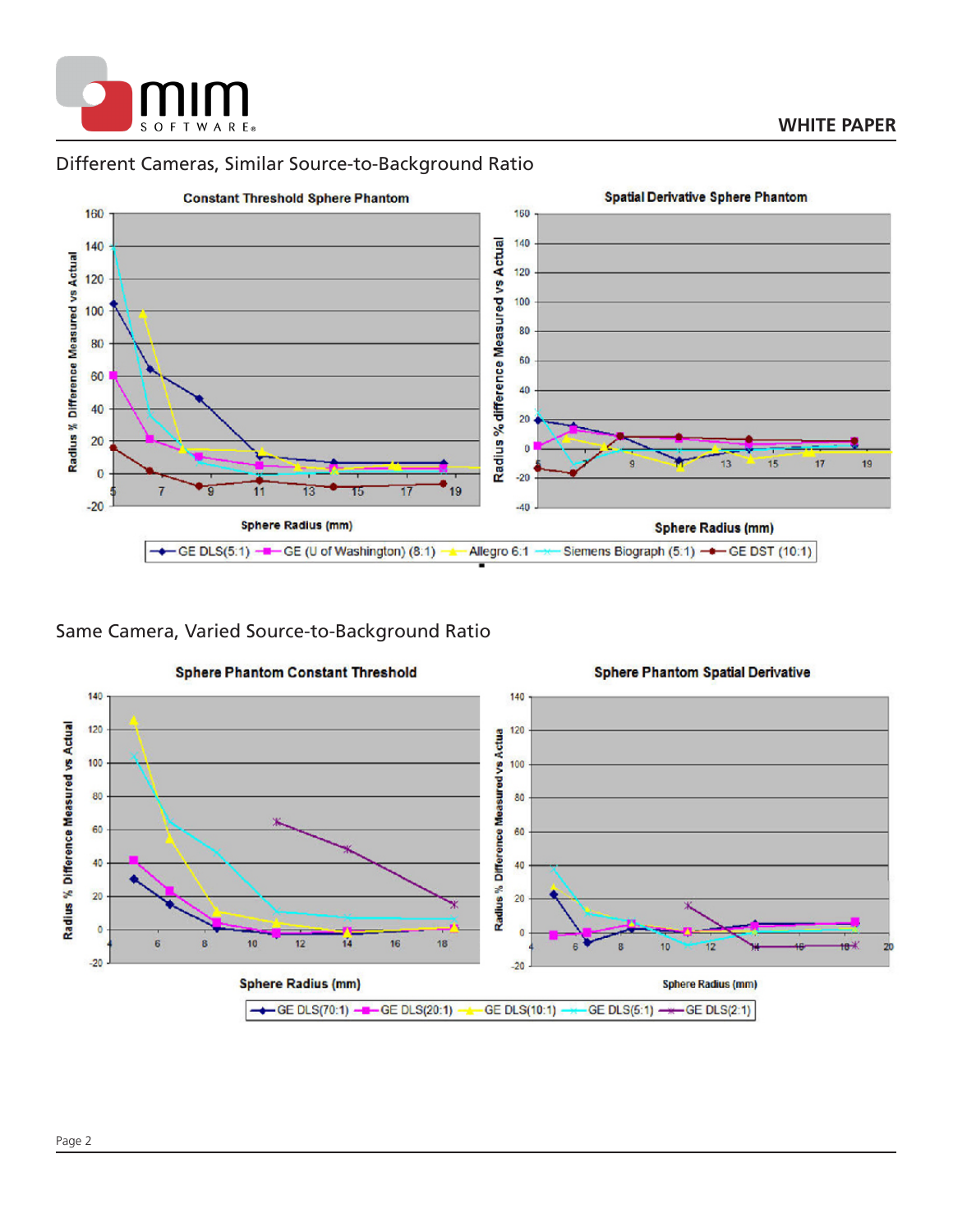

## Different Cameras, Similar Source-to-Background Ratio



### Same Camera, Varied Source-to-Background Ratio